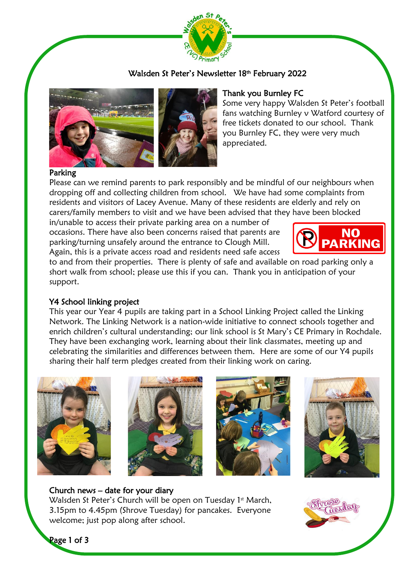

# Walsden St Peter's Newsletter 18 th February 2022



## Thank you Burnley FC

Some very happy Walsden St Peter's football fans watching Burnley v Watford courtesy of free tickets donated to our school. Thank you Burnley FC, they were very much appreciated.

#### Parking

Please can we remind parents to park responsibly and be mindful of our neighbours when dropping off and collecting children from school. We have had some complaints from residents and visitors of Lacey Avenue. Many of these residents are elderly and rely on carers/family members to visit and we have been advised that they have been blocked

in/unable to access their private parking area on a number of occasions. There have also been concerns raised that parents are parking/turning unsafely around the entrance to Clough Mill. Again, this is a private access road and residents need safe access



to and from their properties. There is plenty of safe and available on road parking only a short walk from school; please use this if you can. Thank you in anticipation of your support.

## Y4 School linking project

This year our Year 4 pupils are taking part in a School Linking Project called the Linking Network. The Linking Network is a nation-wide initiative to connect schools together and enrich children's cultural understanding; our link school is St Mary's CE Primary in Rochdale. They have been exchanging work, learning about their link classmates, meeting up and celebrating the similarities and differences between them. Here are some of our Y4 pupils sharing their half term pledges created from their linking work on caring.









## Church news – date for your diary

Walsden St Peter's Church will be open on Tuesday  $1<sup>st</sup>$  March, 3.15pm to 4.45pm (Shrove Tuesday) for pancakes. Everyone welcome; just pop along after school.



Page 1 of 3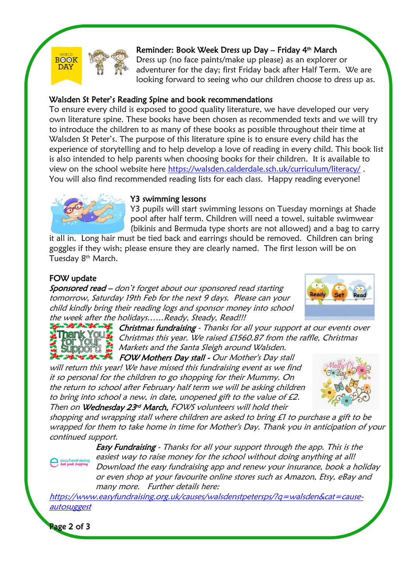



l

Dress up (no face paints/make up please) as an explorer or adventurer for the day; first Friday back after Half Term. We are looking forward to seeing who our children choose to dress up as.

# Walsden St Peter's Reading Spine and book recommendations

To ensure every child is exposed to good quality literature, we have developed our very own literature spine. These books have been chosen as recommended texts and we will try to introduce the children to as many of these books as possible throughout their time at Walsden St Peter's. The purpose of this literature spine is to ensure every child has the experience of storytelling and to help develop a love of reading in every child. This book list is also intended to help parents when choosing books for their children. It is available to view on the school website here<https://walsden.calderdale.sch.uk/curriculum/literacy/>. You will also find recommended reading lists for each class. Happy reading everyone!



## Y3 swimming lessons

Y3 pupils will start swimming lessons on Tuesday mornings at Shade pool after half term. Children will need a towel, suitable swimwear (bikinis and Bermuda type shorts are not allowed) and a bag to carry

it all in. Long hair must be tied back and earrings should be removed. Children can bring goggles if they wish; please ensure they are clearly named. The first lesson will be on Tuesday 8<sup>th</sup> March.

# FOW update

Sponsored read – don't forget about our sponsored read starting tomorrow, Saturday 19th Feb for the next 9 days. Please can your child kindly bring their reading logs and sponsor money into school the week after the holidays……Ready, Steady, Read!!!



Christmas fundraising - Thanks for all your support at our events over Christmas this year. We raised £1560.87 from the raffle, Christmas Markets and the Santa Sleigh around Walsden.

**BERKER FOW Mothers Day stall - Our Mother's Day stall** will return this year! We have missed this fundraising event as we find it so personal for the children to go shopping for their Mummy. On the return to school after February half term we will be asking children to bring into school a new, in date, unopened gift to the value of £2. Then on Wednesday 23<sup>rd</sup> March, FOWS volunteers will hold their



shopping and wrapping stall where children are asked to bring £1 to purchase a gift to be wrapped for them to take home in time for Mother's Day. Thank you in anticipation of your continued support.

> Easy Fundraising - Thanks for all your support through the app. This is the easiest way to raise money for the school without doing anything at all! Download the easy fundraising app and renew your insurance, book a holiday or even shop at your favourite online stores such as Amazon, Etsy, eBay and many more. Further details here:

[https://www.easyfundraising.org.uk/causes/walsdenstpetersps/?q=walsden&cat=cause](https://www.easyfundraising.org.uk/causes/walsdenstpetersps/?q=walsden&cat=cause-autosuggest)[autosuggest](https://www.easyfundraising.org.uk/causes/walsdenstpetersps/?q=walsden&cat=cause-autosuggest)



easyfundraising<br>feel good shopping